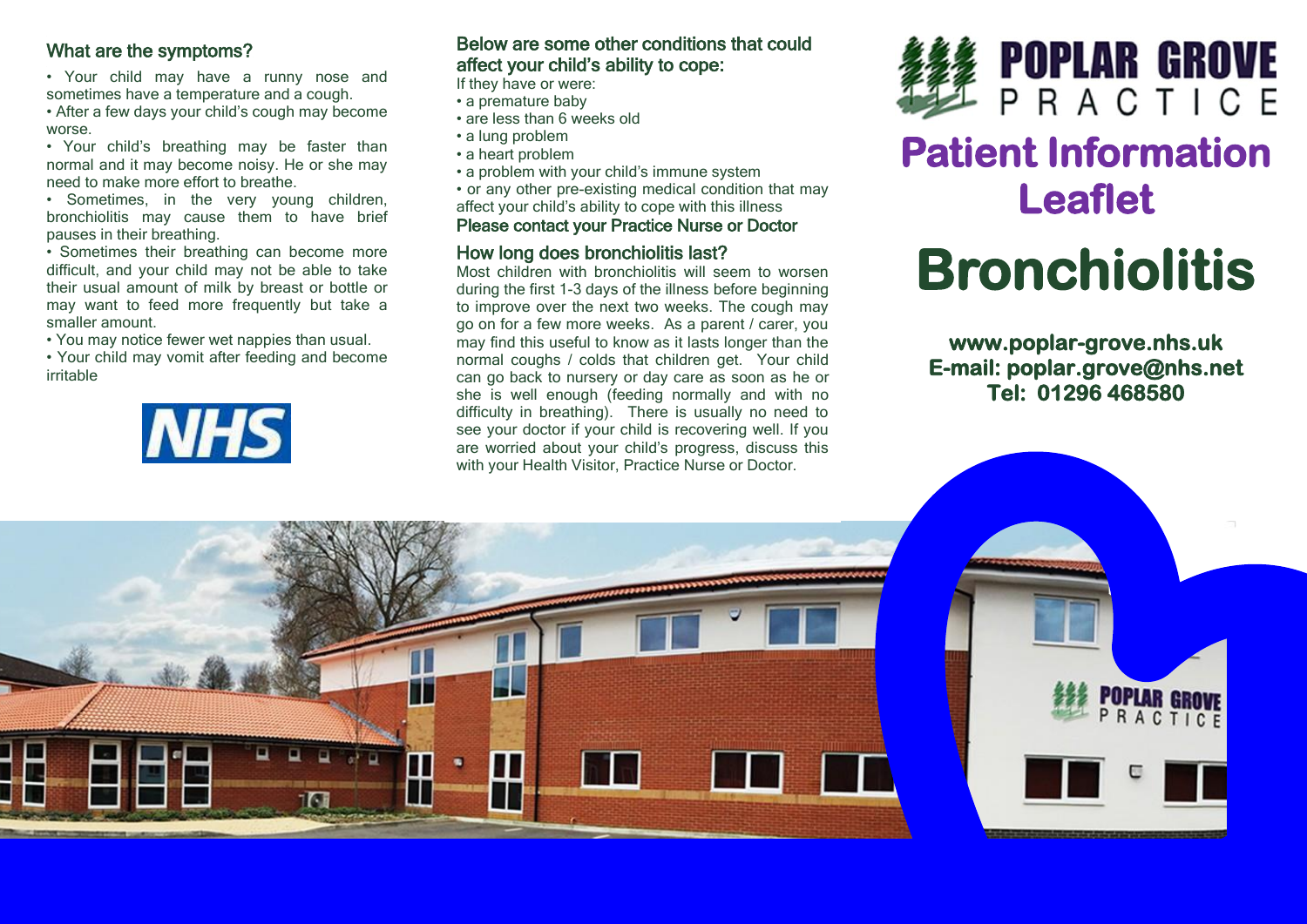### What are the symptoms?

- Your child may have a runny nose and sometimes have a temperature and a cough.
- After a few days your child's cough may become worse.
- Your child's breathing may be faster than normal and it may become noisy. He or she may need to make more effort to breathe.
- Sometimes, in the very young children, bronchiolitis may cause them to have brief pauses in their breathing.
- Sometimes their breathing can become more difficult, and your child may not be able to take their usual amount of milk by breast or bottle or may want to feed more frequently but take a smaller amount.
- You may notice fewer wet nappies than usual.
- Your child may vomit after feeding and become irritable



### Below are some other conditions that could affect your child's ability to cope:

If they have or were:

- a premature baby
- are less than 6 weeks old
- a lung problem
- a heart problem
- a problem with your child's immune system
- or any other pre-existing medical condition that may affect your child's ability to cope with this illness

### Please contact your Practice Nurse or Doctor

### How long does bronchiolitis last?

Most children with bronchiolitis will seem to worsen during the first 1-3 days of the illness before beginning to improve over the next two weeks. The cough may go on for a few more weeks. As a parent / carer, you may find this useful to know as it lasts longer than the normal coughs / colds that children get. Your child can go back to nursery or day care as soon as he or she is well enough (feeding normally and with no difficulty in breathing). There is usually no need to see your doctor if your child is recovering well. If you are worried about your child's progress, discuss this with your Health Visitor, Practice Nurse or Doctor.



## **Patient Information Leaflet**

# **Bronchiolitis**

**www.poplar-grove.nhs.uk E-mail: poplar.grove@nhs.net Tel: 01296 468580**